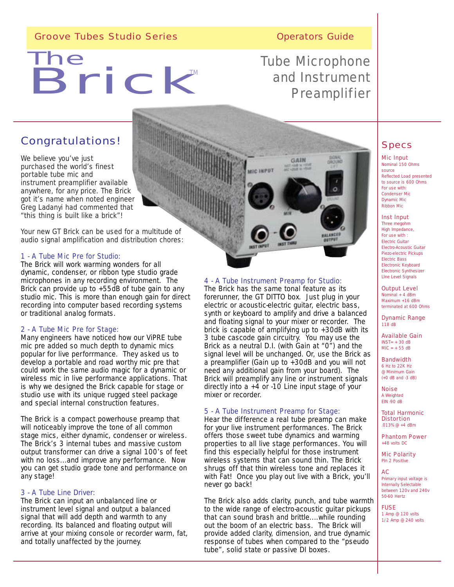# Groove Tubes Studio Series **Canadian Script Contract Contract Contract Contract Contract Contract Contract Contract Contract Contract Contract Contract Contract Contract Contract Contract Contract Contract Contract Contrac**

# The Brick M The TM

# Tube Microphone and Instrument **Preamplifier**

GAIN

# Congratulations!

We believe you've just purchased the world's finest portable tube mic and instrument preamplifier available anywhere, for any price. The Brick got it's name when noted engineer Greg Ladanyi had commented that *"this thing is built like a brick"!* 

Your new GT Brick can be used for a multitude of audio signal amplification and distribution chores:

# 1 - A Tube Mic Pre for Studio:

The Brick will work warming wonders for all dynamic, condenser, or ribbon type studio grade microphones in any recording environment. The Brick can provide up to +55dB of tube gain to any studio mic. This is more than enough gain for direct recording into computer based recording systems or traditional analog formats.

# 2 - A Tube Mic Pre for Stage:

Many engineers have noticed how our ViPRE tube mic pre added so much depth to dynamic mics popular for live perforrmance. They asked us to develop a portable and road worthy mic pre that could work the same audio magic for a dynamic or wireless mic in live performance applications. That is why we designed the Brick capable for stage or studio use with its unique rugged steel package and special internal construction features.

The Brick is a compact powerhouse preamp that will noticeably improve the tone of all common stage mics, either dynamic, condenser or wireless. The Brick's 3 internal tubes and massive custom output transformer can drive a signal 100's of feet with no loss...and improve any performance. Now you can get studio grade tone and performance on any stage!

# 3 - A Tube Line Driver:

The Brick can input an unbalanced line or instrument level signal and output a balanced signal that will add depth and warmth to any recording. Its balanced and floating output will arrive at your mixing console or recorder warm, fat, and totally unaffected by the journey.

# 4 - A Tube Instrument Preamp for Studio:

MIC INPUT

The Brick has the same tonal feature as its forerunner, the GT DITTO box. Just plug in your electric or acoustic-electric guitar, electric bass, synth or keyboard to amplify and drive a balanced and floating signal to your mixer or recorder. The brick is capable of amplifying up to +30dB with its 3 tube cascode gain circuitry. You may use the Brick as a neutral D.I. (with Gain at "0") and the signal level will be unchanged. Or, use the Brick as a preamplifier (Gain up to +30dB and you will not need any additional gain from your board). The Brick will preamplify any line or instrument signals directly into  $a + 4$  or  $-10$  Line input stage of your mixer or recorder.

# 5 - A Tube Instrument Preamp for Stage:

Hear the difference a real tube preamp can make for your live instrument performances. The Brick offers those sweet tube dynamics and warming properties to all live stage performances. You will find this especially helpful for those instrument wireless systems that can sound thin. The Brick shrugs off that thin wireless tone and replaces it with Fat! Once you play out live with a Brick, you'll never go back!

The Brick also adds clarity, punch, and tube warmth to the wide range of electro-acoustic guitar pickups that can sound brash and brittle....while rounding out the boom of an electric bass. The Brick will provide added clarity, dimension, and true dynamic response of tubes when compared to the "pseudo tube", solid state or passive DI boxes.

# Specs

#### Mic Input Nominal 150 Ohms source Reflected Load presented to source is 600 Ohms For use with: Condenser Mic

- Dynamic Mic Ribbon Mic Inst Input
- Three megohm High Impedance, For use with : Electric Guitar Electro-Acoustic Guitar Piezo-electric Pickups Electric Bass Electronic Keyboard Electronic Synthesizer LIne Level Signals

Output Level

Nominal + 4 dBm Maximum +16 dBm terminated at 600 Ohms

Dynamic Range 118 dB

Available Gain  $INST= + 30 dB$  $MIC = + 55 dB$ 

Bandwidth 6 Hz to 22K Hz @ Minimum Gain (+0 dB and -3 dB)

**Noise** A Weighted EIN -90 dB

Total Harmonic **Distortion** .013% @ +4 dBm

Phantom Power

+48 volts DC Mic Polarity PIn 2 Positive

AC Primary input voltage is Internally Selectable between 120v and 240v 50-60 Hertz

**FUSE** 1 Amp @ 120 volts 1/2 Amp @ 240 volts